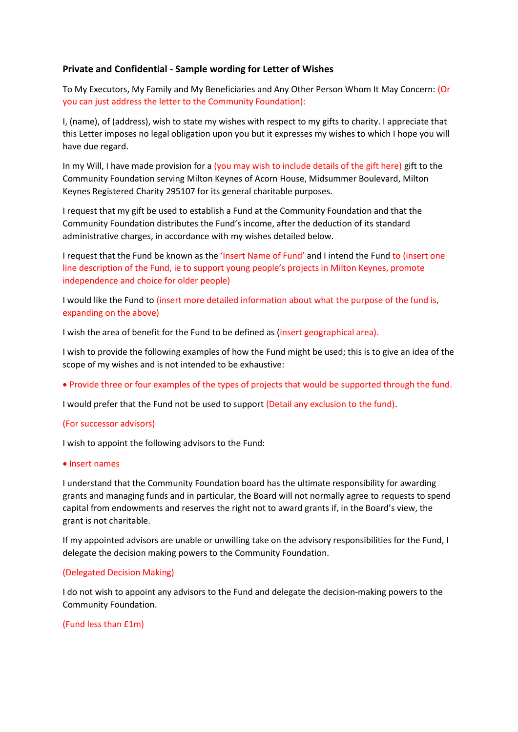# **Private and Confidential - Sample wording for Letter of Wishes**

To My Executors, My Family and My Beneficiaries and Any Other Person Whom It May Concern: (Or you can just address the letter to the Community Foundation):

I, (name), of (address), wish to state my wishes with respect to my gifts to charity. I appreciate that this Letter imposes no legal obligation upon you but it expresses my wishes to which I hope you will have due regard.

In my Will, I have made provision for a (you may wish to include details of the gift here) gift to the Community Foundation serving Milton Keynes of Acorn House, Midsummer Boulevard, Milton Keynes Registered Charity 295107 for its general charitable purposes.

I request that my gift be used to establish a Fund at the Community Foundation and that the Community Foundation distributes the Fund's income, after the deduction of its standard administrative charges, in accordance with my wishes detailed below.

I request that the Fund be known as the 'Insert Name of Fund' and I intend the Fund to (insert one line description of the Fund, ie to support young people's projects in Milton Keynes, promote independence and choice for older people)

I would like the Fund to (insert more detailed information about what the purpose of the fund is, expanding on the above)

I wish the area of benefit for the Fund to be defined as (insert geographical area).

I wish to provide the following examples of how the Fund might be used; this is to give an idea of the scope of my wishes and is not intended to be exhaustive:

Provide three or four examples of the types of projects that would be supported through the fund.

I would prefer that the Fund not be used to support (Detail any exclusion to the fund).

### (For successor advisors)

I wish to appoint the following advisors to the Fund:

### • Insert names

I understand that the Community Foundation board has the ultimate responsibility for awarding grants and managing funds and in particular, the Board will not normally agree to requests to spend capital from endowments and reserves the right not to award grants if, in the Board's view, the grant is not charitable.

If my appointed advisors are unable or unwilling take on the advisory responsibilities for the Fund, I delegate the decision making powers to the Community Foundation.

### (Delegated Decision Making)

I do not wish to appoint any advisors to the Fund and delegate the decision-making powers to the Community Foundation.

## (Fund less than £1m)